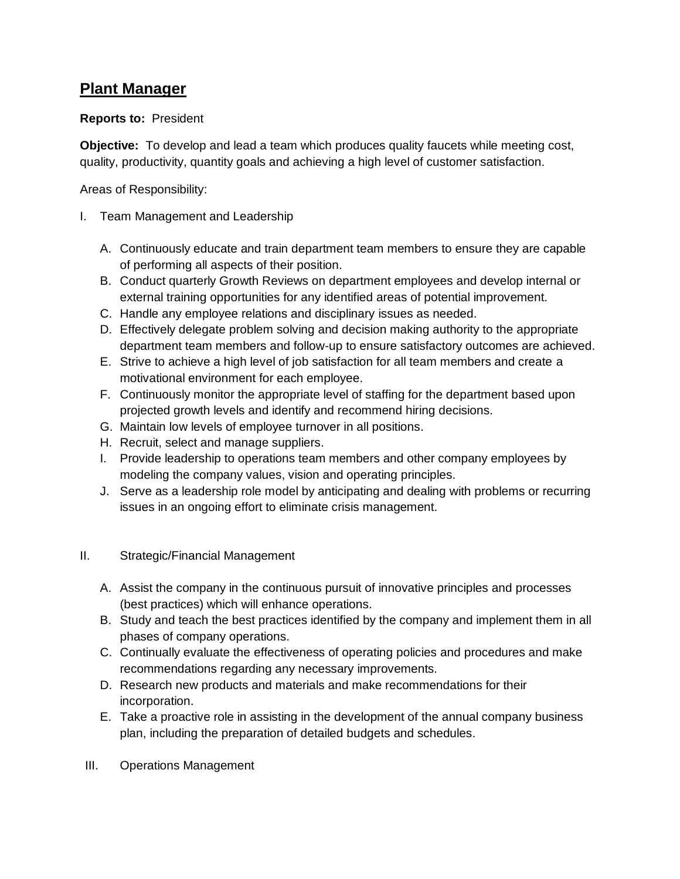## **Plant Manager**

## **Reports to:** President

**Objective:** To develop and lead a team which produces quality faucets while meeting cost, quality, productivity, quantity goals and achieving a high level of customer satisfaction.

Areas of Responsibility:

- I. Team Management and Leadership
	- A. Continuously educate and train department team members to ensure they are capable of performing all aspects of their position.
	- B. Conduct quarterly Growth Reviews on department employees and develop internal or external training opportunities for any identified areas of potential improvement.
	- C. Handle any employee relations and disciplinary issues as needed.
	- D. Effectively delegate problem solving and decision making authority to the appropriate department team members and follow-up to ensure satisfactory outcomes are achieved.
	- E. Strive to achieve a high level of job satisfaction for all team members and create a motivational environment for each employee.
	- F. Continuously monitor the appropriate level of staffing for the department based upon projected growth levels and identify and recommend hiring decisions.
	- G. Maintain low levels of employee turnover in all positions.
	- H. Recruit, select and manage suppliers.
	- I. Provide leadership to operations team members and other company employees by modeling the company values, vision and operating principles.
	- J. Serve as a leadership role model by anticipating and dealing with problems or recurring issues in an ongoing effort to eliminate crisis management.

## II. Strategic/Financial Management

- A. Assist the company in the continuous pursuit of innovative principles and processes (best practices) which will enhance operations.
- B. Study and teach the best practices identified by the company and implement them in all phases of company operations.
- C. Continually evaluate the effectiveness of operating policies and procedures and make recommendations regarding any necessary improvements.
- D. Research new products and materials and make recommendations for their incorporation.
- E. Take a proactive role in assisting in the development of the annual company business plan, including the preparation of detailed budgets and schedules.
- III. Operations Management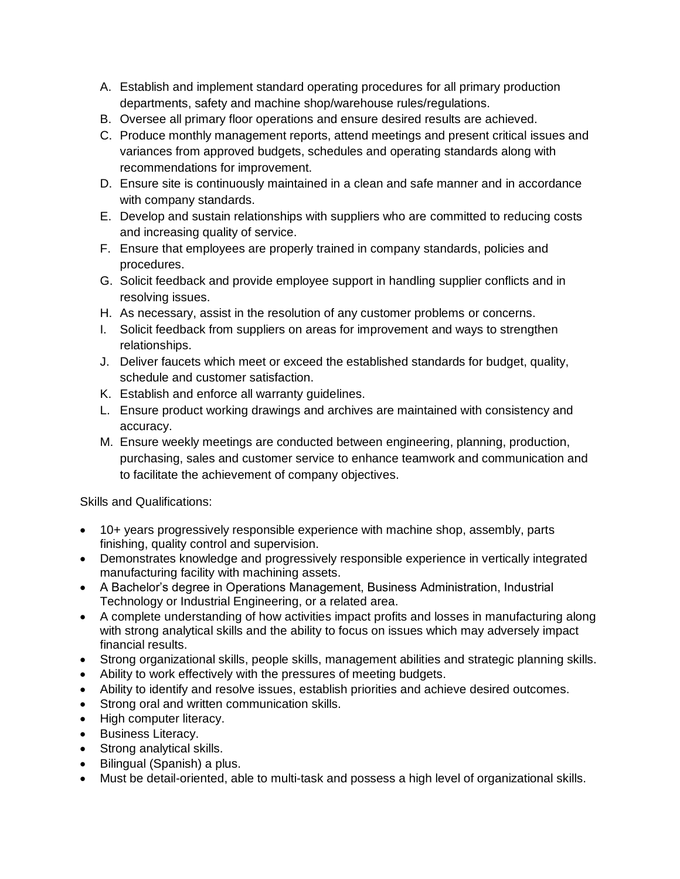- A. Establish and implement standard operating procedures for all primary production departments, safety and machine shop/warehouse rules/regulations.
- B. Oversee all primary floor operations and ensure desired results are achieved.
- C. Produce monthly management reports, attend meetings and present critical issues and variances from approved budgets, schedules and operating standards along with recommendations for improvement.
- D. Ensure site is continuously maintained in a clean and safe manner and in accordance with company standards.
- E. Develop and sustain relationships with suppliers who are committed to reducing costs and increasing quality of service.
- F. Ensure that employees are properly trained in company standards, policies and procedures.
- G. Solicit feedback and provide employee support in handling supplier conflicts and in resolving issues.
- H. As necessary, assist in the resolution of any customer problems or concerns.
- I. Solicit feedback from suppliers on areas for improvement and ways to strengthen relationships.
- J. Deliver faucets which meet or exceed the established standards for budget, quality, schedule and customer satisfaction.
- K. Establish and enforce all warranty guidelines.
- L. Ensure product working drawings and archives are maintained with consistency and accuracy.
- M. Ensure weekly meetings are conducted between engineering, planning, production, purchasing, sales and customer service to enhance teamwork and communication and to facilitate the achievement of company objectives.

Skills and Qualifications:

- 10+ years progressively responsible experience with machine shop, assembly, parts finishing, quality control and supervision.
- Demonstrates knowledge and progressively responsible experience in vertically integrated manufacturing facility with machining assets.
- A Bachelor's degree in Operations Management, Business Administration, Industrial Technology or Industrial Engineering, or a related area.
- A complete understanding of how activities impact profits and losses in manufacturing along with strong analytical skills and the ability to focus on issues which may adversely impact financial results.
- Strong organizational skills, people skills, management abilities and strategic planning skills.
- Ability to work effectively with the pressures of meeting budgets.
- Ability to identify and resolve issues, establish priorities and achieve desired outcomes.
- Strong oral and written communication skills.
- High computer literacy.
- **•** Business Literacy.
- Strong analytical skills.
- Bilingual (Spanish) a plus.
- Must be detail-oriented, able to multi-task and possess a high level of organizational skills.